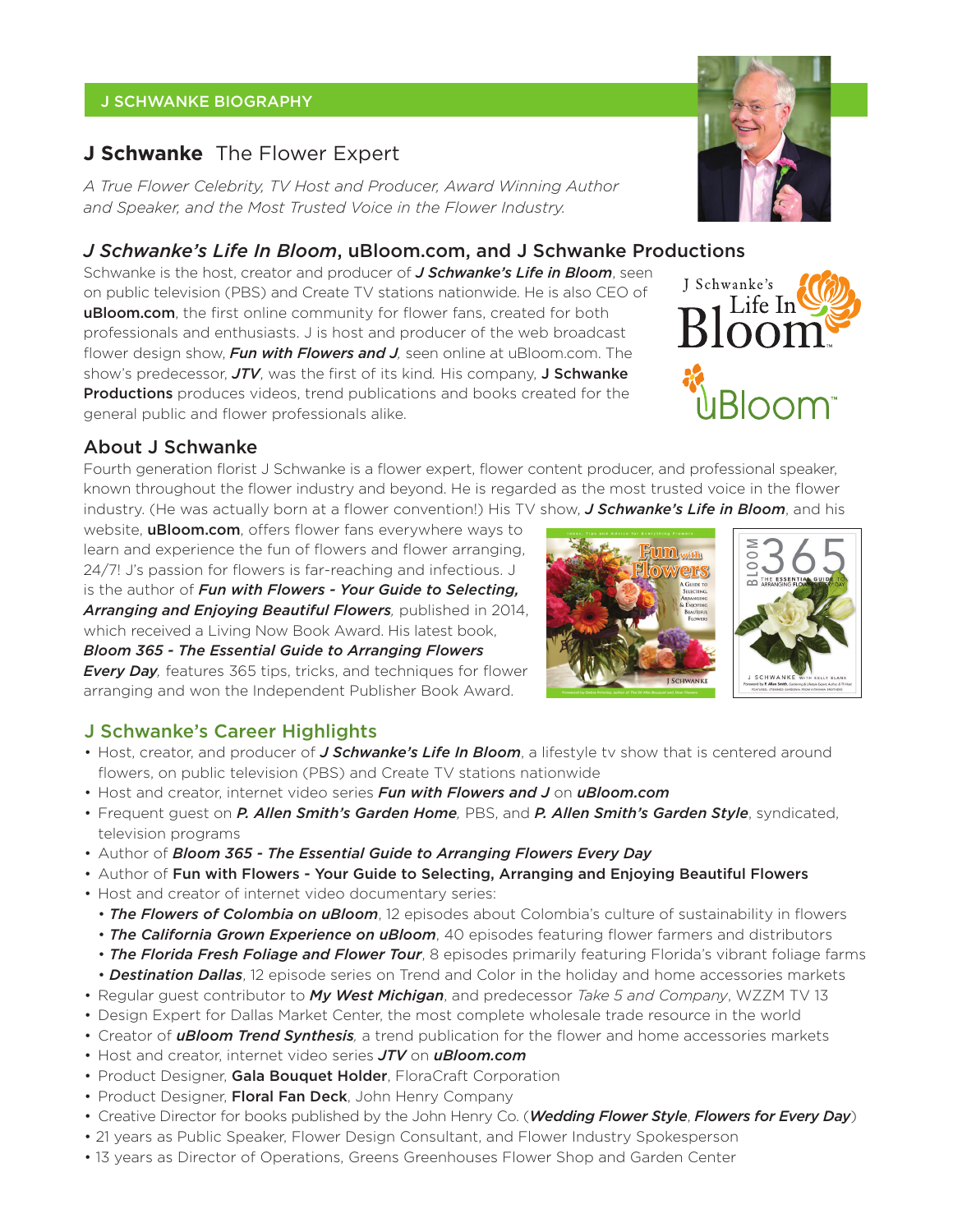## J SCHWANKE BIOGRAPHY

# **J Schwanke** The Flower Expert

*A True Flower Celebrity, TV Host and Producer, Award Winning Author and Speaker, and the Most Trusted Voice in the Flower Industry.*

## *J Schwanke's Life In Bloom*, uBloom.com, and J Schwanke Productions

Schwanke is the host, creator and producer of *J Schwanke's Life in Bloom*, seen on public television (PBS) and Create TV stations nationwide. He is also CEO of uBloom.com, the first online community for flower fans, created for both professionals and enthusiasts. J is host and producer of the web broadcast flower design show, *Fun with Flowers and J,* seen online at uBloom.com. The show's predecessor, *JTV*, was the first of its kind*.* His company, J Schwanke **Productions** produces videos, trend publications and books created for the general public and flower professionals alike.

# About J Schwanke

Fourth generation florist J Schwanke is a flower expert, flower content producer, and professional speaker, known throughout the flower industry and beyond. He is regarded as the most trusted voice in the flower industry. (He was actually born at a flower convention!) His TV show, *J Schwanke's Life in Bloom*, and his

website, **uBloom.com**, offers flower fans everywhere ways to learn and experience the fun of flowers and flower arranging, 24/7! J's passion for flowers is far-reaching and infectious. J is the author of *Fun with Flowers - Your Guide to Selecting, Arranging and Enjoying Beautiful Flowers,* published in 2014,

which received a Living Now Book Award. His latest book, *Bloom 365 - The Essential Guide to Arranging Flowers* 

**Every Day**, features 365 tips, tricks, and techniques for flower arranging and won the Independent Publisher Book Award.

# J Schwanke's Career Highlights

- Host, creator, and producer of *J Schwanke's Life In Bloom*, a lifestyle tv show that is centered around flowers, on public television (PBS) and Create TV stations nationwide
- Host and creator, internet video series *Fun with Flowers and J* on *uBloom.com*
- •Frequent guest on *P. Allen Smith's Garden Home,* PBS, and *P. Allen Smith's Garden Style*, syndicated, television programs
- Author of *Bloom 365 The Essential Guide to Arranging Flowers Every Day*
- Author of Fun with Flowers Your Guide to Selecting, Arranging and Enjoying Beautiful Flowers
- Host and creator of internet video documentary series:
	- *The Flowers of Colombia on uBloom*, 12 episodes about Colombia's culture of sustainability in flowers
	- *The California Grown Experience on uBloom*, 40 episodes featuring flower farmers and distributors
	- *The Florida Fresh Foliage and Flower Tour*, 8 episodes primarily featuring Florida's vibrant foliage farms
	- *Destination Dallas*, 12 episode series on Trend and Color in the holiday and home accessories markets
- Regular guest contributor to *My West Michigan*, and predecessor *Take 5 and Company*, WZZM TV 13
- Design Expert for Dallas Market Center, the most complete wholesale trade resource in the world
- Creator of *uBloom Trend Synthesis,* a trend publication for the flower and home accessories markets
- Host and creator, internet video series *JTV* on *uBloom.com*
- Product Designer, Gala Bouquet Holder, FloraCraft Corporation
- Product Designer, Floral Fan Deck, John Henry Company
- Creative Director for books published by the John Henry Co. (*Wedding Flower Style*, *Flowers for Every Day*)
- 21 years as Public Speaker, Flower Design Consultant, and Flower Industry Spokesperson
- 13 years as Director of Operations, Greens Greenhouses Flower Shop and Garden Center



J Schwanke's

Life In